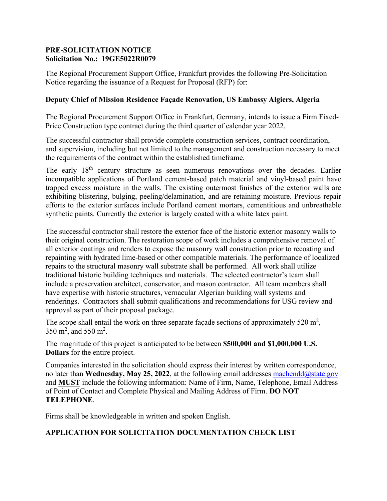## **PRE-SOLICITATION NOTICE Solicitation No.: 19GE5022R0079**

The Regional Procurement Support Office, Frankfurt provides the following Pre-Solicitation Notice regarding the issuance of a Request for Proposal (RFP) for:

## **Deputy Chief of Mission Residence Façade Renovation, US Embassy Algiers, Algeria**

The Regional Procurement Support Office in Frankfurt, Germany, intends to issue a Firm Fixed-Price Construction type contract during the third quarter of calendar year 2022.

The successful contractor shall provide complete construction services, contract coordination, and supervision, including but not limited to the management and construction necessary to meet the requirements of the contract within the established timeframe.

The early 18<sup>th</sup> century structure as seen numerous renovations over the decades. Earlier incompatible applications of Portland cement-based patch material and vinyl-based paint have trapped excess moisture in the walls. The existing outermost finishes of the exterior walls are exhibiting blistering, bulging, peeling/delamination, and are retaining moisture. Previous repair efforts to the exterior surfaces include Portland cement mortars, cementitious and unbreathable synthetic paints. Currently the exterior is largely coated with a white latex paint.

The successful contractor shall restore the exterior face of the historic exterior masonry walls to their original construction. The restoration scope of work includes a comprehensive removal of all exterior coatings and renders to expose the masonry wall construction prior to recoating and repainting with hydrated lime-based or other compatible materials. The performance of localized repairs to the structural masonry wall substrate shall be performed. All work shall utilize traditional historic building techniques and materials. The selected contractor's team shall include a preservation architect, conservator, and mason contractor. All team members shall have expertise with historic structures, vernacular Algerian building wall systems and renderings. Contractors shall submit qualifications and recommendations for USG review and approval as part of their proposal package.

The scope shall entail the work on three separate façade sections of approximately 520  $m^2$ ,  $350 \text{ m}^2$ , and  $550 \text{ m}^2$ .

The magnitude of this project is anticipated to be between **\$500,000 and \$1,000,000 U.S. Dollars** for the entire project.

Companies interested in the solicitation should express their interest by written correspondence, no later than **Wednesday, May 25, 2022**, at the following email addresses machendd $\omega$ state.gov and **MUST** include the following information: Name of Firm, Name, Telephone, Email Address of Point of Contact and Complete Physical and Mailing Address of Firm. **DO NOT TELEPHONE**.

Firms shall be knowledgeable in written and spoken English.

## **APPLICATION FOR SOLICITATION DOCUMENTATION CHECK LIST**